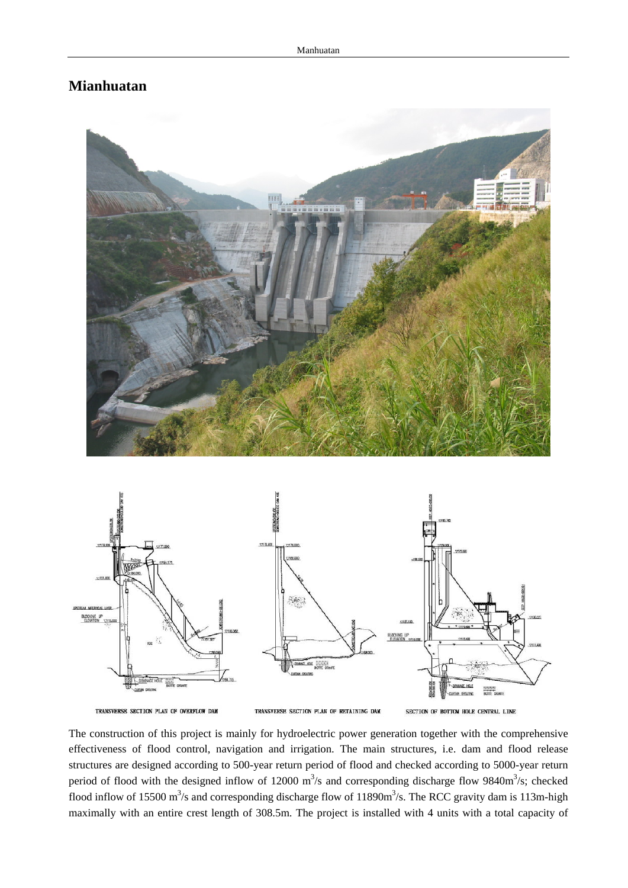## **Mianhuatan**



TRANSVERSE SECTION PLAN OF OVERFLOW DAM

TRANSVERSE SECTION PLAN OF RETAINING DAM

SECTION OF BOTTOM HOLE CENTRAL LINE

The construction of this project is mainly for hydroelectric power generation together with the comprehensive effectiveness of flood control, navigation and irrigation. The main structures, i.e. dam and flood release structures are designed according to 500-year return period of flood and checked according to 5000-year return period of flood with the designed inflow of 12000  $\text{m}^3$ /s and corresponding discharge flow 9840 $\text{m}^3$ /s; checked flood inflow of 15500 m<sup>3</sup>/s and corresponding discharge flow of 11890m<sup>3</sup>/s. The RCC gravity dam is 113m-high maximally with an entire crest length of 308.5m. The project is installed with 4 units with a total capacity of